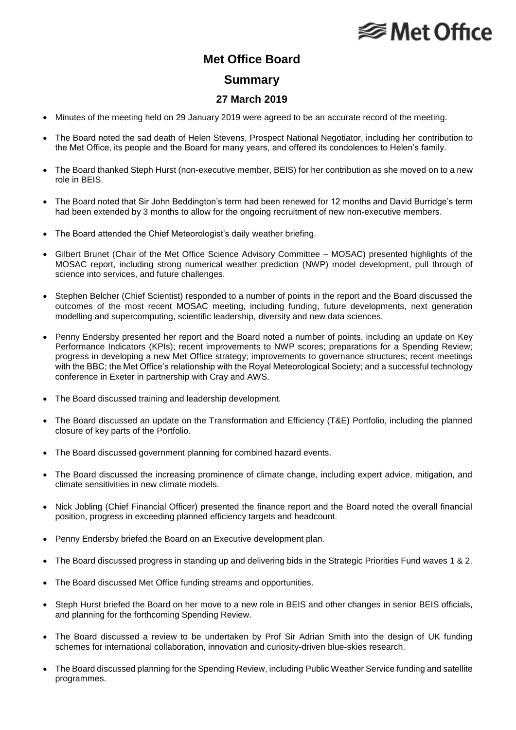## **Met Office**

### **Met Office Board**

#### **Summary**

#### **27 March 2019**

- Minutes of the meeting held on 29 January 2019 were agreed to be an accurate record of the meeting.
- The Board noted the sad death of Helen Stevens, Prospect National Negotiator, including her contribution to the Met Office, its people and the Board for many years, and offered its condolences to Helen's family.
- The Board thanked Steph Hurst (non-executive member, BEIS) for her contribution as she moved on to a new role in BEIS.
- The Board noted that Sir John Beddington's term had been renewed for 12 months and David Burridge's term had been extended by 3 months to allow for the ongoing recruitment of new non-executive members.
- The Board attended the Chief Meteorologist's daily weather briefing.
- Gilbert Brunet (Chair of the Met Office Science Advisory Committee MOSAC) presented highlights of the MOSAC report, including strong numerical weather prediction (NWP) model development, pull through of science into services, and future challenges.
- Stephen Belcher (Chief Scientist) responded to a number of points in the report and the Board discussed the outcomes of the most recent MOSAC meeting, including funding, future developments, next generation modelling and supercomputing, scientific leadership, diversity and new data sciences.
- Penny Endersby presented her report and the Board noted a number of points, including an update on Key Performance Indicators (KPIs); recent improvements to NWP scores; preparations for a Spending Review; progress in developing a new Met Office strategy; improvements to governance structures; recent meetings with the BBC; the Met Office's relationship with the Royal Meteorological Society; and a successful technology conference in Exeter in partnership with Cray and AWS.
- The Board discussed training and leadership development.
- The Board discussed an update on the Transformation and Efficiency (T&E) Portfolio, including the planned closure of key parts of the Portfolio.
- The Board discussed government planning for combined hazard events.
- The Board discussed the increasing prominence of climate change, including expert advice, mitigation, and climate sensitivities in new climate models.
- Nick Jobling (Chief Financial Officer) presented the finance report and the Board noted the overall financial position, progress in exceeding planned efficiency targets and headcount.
- Penny Endersby briefed the Board on an Executive development plan.
- The Board discussed progress in standing up and delivering bids in the Strategic Priorities Fund waves 1 & 2.
- The Board discussed Met Office funding streams and opportunities.
- Steph Hurst briefed the Board on her move to a new role in BEIS and other changes in senior BEIS officials, and planning for the forthcoming Spending Review.
- The Board discussed a review to be undertaken by Prof Sir Adrian Smith into the design of UK funding schemes for international collaboration, innovation and curiosity-driven blue-skies research.
- The Board discussed planning for the Spending Review, including Public Weather Service funding and satellite programmes.